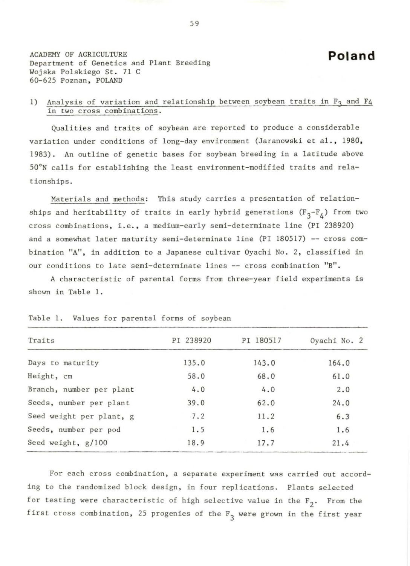**Poland** 

ACADEMY OF AGRICULTURE Department of Genetics and Plant Breeding Wojska Polskiego St. 71 C 60-625 Poznan, POLAND

## 1) Analysis of variation and relationship between soybean traits in  $F_3$  and  $F_4$ in two cross combinations.

Qualities and traits of soybean are reported to produce a considerable variation under conditions of long-day environment (Jaranowski et al., 1980, 1983). An outline of genetic bases for soybean breeding in a latitude above 50°N calls for establishing the least environment-modified traits and relationships.

Materials and methods: This study carries a presentation of relationships and heritability of traits in early hybrid generations  $(F_3-F_4)$  from two cross combinations, i.e. , a medium-early semi-determinate line (PI 238920) and a somewhat later maturity semi-determinate line (PI 180517) -- cross combination "A", in addition to a Japanese cultivar Oyachi No. 2, classified in our conditions to late semi-determinate lines -- cross combination "B".

A characteristic of parental forms from three-year field experiments is shown in Table 1.

| Traits                   | PI 238920 | PI 180517 | Oyachi No. 2 |
|--------------------------|-----------|-----------|--------------|
| Days to maturity         | 135.0     | 143.0     | 164.0        |
| Height, cm               | 58.0      | 68.0      | 61.0         |
| Branch, number per plant | 4.0       | 4.0       | 2.0          |
| Seeds, number per plant  | 39.0      | 62.0      | 24.0         |
| Seed weight per plant, g | 7.2       | 11.2      | 6.3          |
| Seeds, number per pod    | 1.5       | 1.6       | 1.6          |
| Seed weight, g/100       | 18.9      | 17.7      | 21.4         |

| Table 1. Values for parental forms of soybean |  |  |  |
|-----------------------------------------------|--|--|--|
|-----------------------------------------------|--|--|--|

For each cross combination, a separate experiment was carried out according to the randomized block design, in four replications. Plants selected for testing were characteristic of high selective value in the  $F_2$ . From the first cross combination, 25 progenies of the  $F_3$  were grown in the first year

59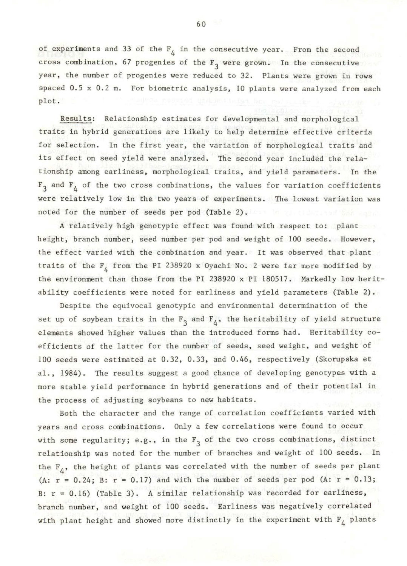of experiments and 33 of the  $F_4$  in the consecutive year. From the second cross combination, 67 progenies of the  $F_3$  were grown. In the consecutive year, the number of progenies were reduced to 32. Plants were grown in rows spaced 0.5 x 0.2 m. For biometric analysis, 10 plants were analyzed from each plot .

Results: Relationship estimates for developmental and morphological traits in hybrid generations are likely to help determine effective criteria for selection. In the first year, the variation of morphological traits and its effect on seed yield were analyzed. The second year included the relationship among earliness, morphological traits, and yield parameters. In the  $F_3$  and  $F_4$  of the two cross combinations, the values for variation coefficients were relatively low in the two years of experiments. The lowest variation was noted for the number of seeds per pod (Table 2).

A relatively high genotypic effect was found with respect to: plant height, branch number , seed number per pod and weight of 100 seeds. However, the effect varied with the combination and year. It was observed that plant traits of the  $F_{\mu}$  from the PI 238920 x Oyachi No. 2 were far more modified by the environment than those from the PI 238920 x PI 180517. Markedly low heritability coefficients were noted for earliness and yield parameters (Table 2) .

Despite the equivocal genotypic and environmental determination of the set up of soybean traits in the  $F_3$  and  $F_4$ , the heritability of yield structure elements showed higher values than the introduced forms had. Heritability coefficients of the latter for the number of seeds, seed weight, and weight of 100 seeds were estimated at 0.32, 0.33, and 0 . 46, respectively (Skorupska et al., 1984). The results suggest a good chance of developing genotypes with a more stable yield performance in hybrid generations and of their potential in the process of adjusting soybeans to new habitats.

Both the character and the range of correlation coefficients varied with years and cross combinations. Only a few correlations were found to occur with some regularity; e.g., in the  $F_3$  of the two cross combinations, distinct relationship was noted for the number of branches and weight of 100 seeds. In the  $F_4$ , the height of plants was correlated with the number of seeds per plant (A:  $r = 0.24$ ; B:  $r = 0.17$ ) and with the number of seeds per pod (A:  $r = 0.13$ ; B:  $r = 0.16$ ) (Table 3). A similar relationship was recorded for earliness, branch number, and weight of 100 seeds. Earliness was negatively correlated with plant height and showed more distinctly in the experiment with  $F_{4}$  plants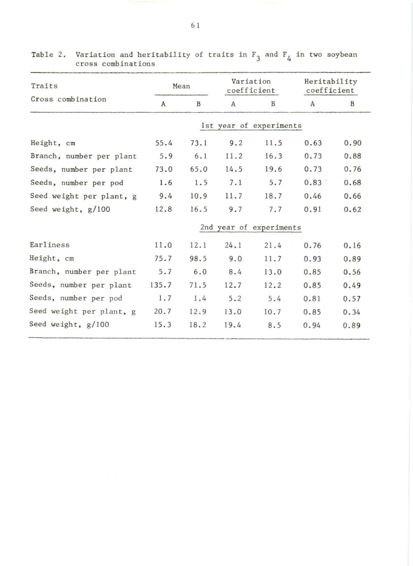| Traits                   | Mean                    |             | Variation<br>coefficient |                         | Heritability<br>coefficient |      |  |  |
|--------------------------|-------------------------|-------------|--------------------------|-------------------------|-----------------------------|------|--|--|
| Cross combination        | $\mathbf{A}$            | $\mathbf B$ | A                        | B                       | A                           | B    |  |  |
|                          |                         |             |                          | 1st year of experiments |                             |      |  |  |
| Height, cm               | 55.4                    | 73.1        | 9.2                      | 11.5                    | 0.63                        | 0.90 |  |  |
| Branch, number per plant | 5.9                     | 6.1         | 11.2                     | 16.3                    | 0.73                        | 0.88 |  |  |
| Seeds, number per plant  | 73.0                    | 65.0        | 14.5                     | 19.6                    | 0.73                        | 0.76 |  |  |
| Seeds, number per pod    | 1.6                     | 1.5         | 7.1                      | 5.7                     | 0.83                        | 0.68 |  |  |
| Seed weight per plant, g | 9.4                     | 10.9        | 11.7                     | 18.7                    | 0.46                        | 0.66 |  |  |
| Seed weight, g/100       | 12.8                    | 16.5        | 9.7                      | 7.7                     | 0.91                        | 0.62 |  |  |
|                          | 2nd year of experiments |             |                          |                         |                             |      |  |  |
| Earliness                | 11.0                    | 12.1        | 24.1                     | 21.4                    | 0.76                        | 0.16 |  |  |
| Height, cm               | 75.7                    | 98.5        | 9.0                      | 11.7                    | 0.93                        | 0.89 |  |  |
| Branch, number per plant | 5.7                     | 6.0         | 8.4                      | 13.0                    | 0.85                        | 0.56 |  |  |
| Seeds, number per plant  | 135.7                   | 71.5        | 12.7                     | 12.2                    | 0.85                        | 0.49 |  |  |
| Seeds, number per pod    | 1.7                     | 1.4         | 5.2                      | 5.4                     | 0.81                        | 0.57 |  |  |
| Seed weight per plant, g | 20.7                    | 12.9        | 13.0                     | 10.7                    | 0.85                        | 0.34 |  |  |
| Seed weight, g/100       | 15.3                    | 18.2        | 19.4                     | 8.5                     | 0.94                        | 0.89 |  |  |

Table 2. Variation and heritability of traits in  $F_3$  and  $F_4$  in two soybean cross combinations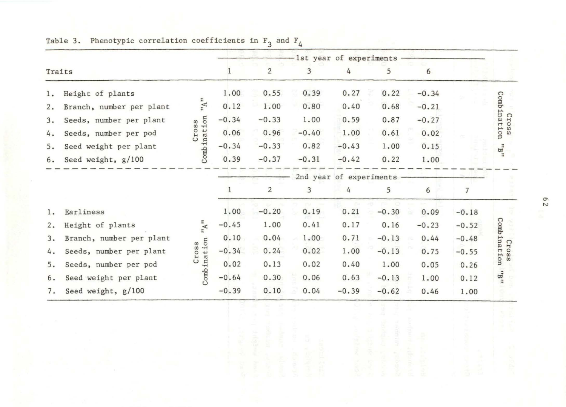|        |                          |                    |                         |                |         | -lst year of experiments |         |         |         |                                                                    |
|--------|--------------------------|--------------------|-------------------------|----------------|---------|--------------------------|---------|---------|---------|--------------------------------------------------------------------|
| Traits |                          |                    |                         | $\overline{2}$ | 3       | 4                        | 5       | 6       |         |                                                                    |
| 1.     | Height of plants         |                    | 1.00                    | 0.55           | 0.39    | 0.27                     | 0.22    | $-0.34$ |         |                                                                    |
| 2.     | Branch, number per plant | $\forall$          | 0.12                    | 1.00           | 0.80    | 0.40                     | 0.68    | $-0.21$ |         | <b>Combination</b><br>Cross<br>$\mathbf{g}^{\mathbf{n}}$           |
| 3.     | Seeds, number per plant  | SS                 | $-0.34$                 | $-0.33$        | 1.00    | 0.59                     | 0.87    | $-0.27$ |         |                                                                    |
| 4.     | Seeds, number per pod    | Combination<br>Cro | 0.06                    | 0.96           | $-0.40$ | 1.00                     | 0.61    | 0.02    |         |                                                                    |
| 5.     | Seed weight per plant    |                    | $-0.34$                 | $-0.33$        | 0.82    | $-0.43$                  | 1.00    | 0.15    |         |                                                                    |
| 6.     | Seed weight, g/100       |                    | 0.39                    | $-0.37$        | $-0.31$ | $-0.42$                  | 0.22    | 1.00    |         |                                                                    |
|        |                          |                    | 2nd year of experiments |                |         |                          |         |         |         |                                                                    |
|        |                          |                    | з.                      | 2              | 3       | 4                        | 5       | 6       |         |                                                                    |
| 1.     | Earliness                |                    | 1.00                    | $-0.20$        | 0.19    | 0.21                     | $-0.30$ | 0.09    | $-0.18$ | Combinati<br>Cros<br>uo:<br>$\omega$<br>$_{\rm H}$ $\rm g_{\rm H}$ |
| 2.     | Height of plants         | A''                | $-0.45$                 | 1.00           | 0.41    | 0.17                     | 0.16    | $-0.23$ | $-0.52$ |                                                                    |
| 3.     | Branch, number per plant |                    | 0.10                    | 0.04           | 1.00    | 0.71                     | $-0.13$ | 0.44    | $-0.48$ |                                                                    |
| 4.     | Seeds, number per plant  | Cross              | $-0.34$                 | 0.24           | 0.02    | 1.00                     | $-0.13$ | 0.75    | $-0.55$ |                                                                    |
| 5.     | Seeds, number per pod    | Combination        | 0.02                    | 0.13           | 0.02    | 0.40                     | 1.00    | 0.05    | 0.26    |                                                                    |
| 6.     | Seed weight per plant    |                    | $-0.64$                 | 0.30           | 0.06    | 0.63                     | $-0.13$ | 1.00    | 0.12    |                                                                    |
| 7.     | Seed weight, g/100       |                    | $-0.39$                 | 0.10           | 0.04    | $-0.39$                  | $-0.62$ | 0.46    | 1.00    |                                                                    |
|        |                          |                    |                         |                |         |                          |         |         |         |                                                                    |

Table 3. Phenotypic correlation coefficients in  $F_3$  and  $F_4$